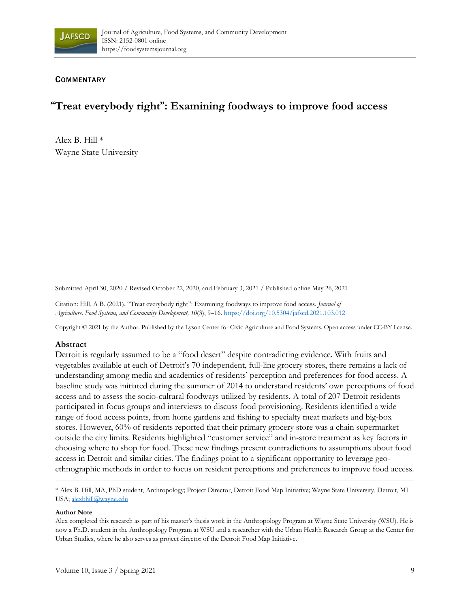

## **COMMENTARY**

# **"Treat everybody right": Examining foodways to improve food access**

Alex B. Hill \* Wayne State University

Submitted April 30, 2020 / Revised October 22, 2020, and February 3, 2021 / Published online May 26, 2021

Citation: Hill, A B. (2021). "Treat everybody right": Examining foodways to improve food access. *Journal of Agriculture, Food Systems, and Community Development, 10*(3), 9–16. https://doi.org/10.5304/jafscd.2021.103.012

Copyright © 2021 by the Author. Published by the Lyson Center for Civic Agriculture and Food Systems. Open access under CC-BY license.

## **Abstract**

Detroit is regularly assumed to be a "food desert" despite contradicting evidence. With fruits and vegetables available at each of Detroit's 70 independent, full-line grocery stores, there remains a lack of understanding among media and academics of residents' perception and preferences for food access. A baseline study was initiated during the summer of 2014 to understand residents' own perceptions of food access and to assess the socio-cultural foodways utilized by residents. A total of 207 Detroit residents participated in focus groups and interviews to discuss food provisioning. Residents identified a wide range of food access points, from home gardens and fishing to specialty meat markets and big-box stores. However, 60% of residents reported that their primary grocery store was a chain supermarket outside the city limits. Residents highlighted "customer service" and in-store treatment as key factors in choosing where to shop for food. These new findings present contradictions to assumptions about food access in Detroit and similar cities. The findings point to a significant opportunity to leverage geoethnographic methods in order to focus on resident perceptions and preferences to improve food access.

\* Alex B. Hill, MA, PhD student, Anthropology; Project Director, Detroit Food Map Initiative; Wayne State University, Detroit, MI USA; alexbhill@wayne.edu

#### **Author Note**

Alex completed this research as part of his master's thesis work in the Anthropology Program at Wayne State University (WSU). He is now a Ph.D. student in the Anthropology Program at WSU and a researcher with the Urban Health Research Group at the Center for Urban Studies, where he also serves as project director of the Detroit Food Map Initiative.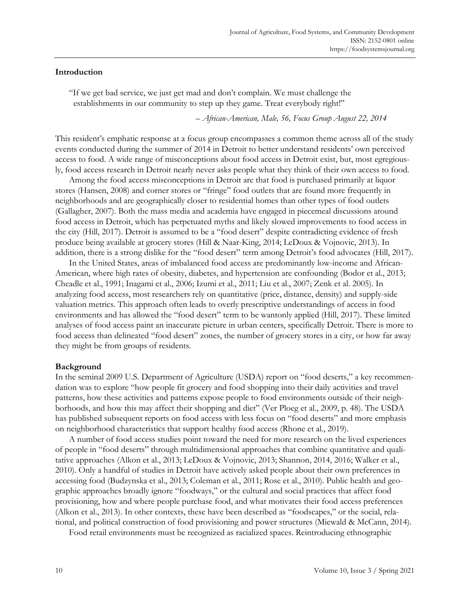## **Introduction**

"If we get bad service, we just get mad and don't complain. We must challenge the establishments in our community to step up they game. Treat everybody right!"

– *African-American, Male, 56, Focus Group August 22, 2014* 

This resident's emphatic response at a focus group encompasses a common theme across all of the study events conducted during the summer of 2014 in Detroit to better understand residents' own perceived access to food. A wide range of misconceptions about food access in Detroit exist, but, most egregiously, food access research in Detroit nearly never asks people what they think of their own access to food.

 Among the food access misconceptions in Detroit are that food is purchased primarily at liquor stores (Hansen, 2008) and corner stores or "fringe" food outlets that are found more frequently in neighborhoods and are geographically closer to residential homes than other types of food outlets (Gallagher, 2007). Both the mass media and academia have engaged in piecemeal discussions around food access in Detroit, which has perpetuated myths and likely slowed improvements to food access in the city (Hill, 2017). Detroit is assumed to be a "food desert" despite contradicting evidence of fresh produce being available at grocery stores (Hill & Naar-King, 2014; LeDoux & Vojnovic, 2013). In addition, there is a strong dislike for the "food desert" term among Detroit's food advocates (Hill, 2017).

 In the United States, areas of imbalanced food access are predominantly low-income and African-American, where high rates of obesity, diabetes, and hypertension are confounding (Bodor et al., 2013; Cheadle et al., 1991; Inagami et al., 2006; Izumi et al., 2011; Liu et al., 2007; Zenk et al. 2005). In analyzing food access, most researchers rely on quantitative (price, distance, density) and supply-side valuation metrics. This approach often leads to overly prescriptive understandings of access in food environments and has allowed the "food desert" term to be wantonly applied (Hill, 2017). These limited analyses of food access paint an inaccurate picture in urban centers, specifically Detroit. There is more to food access than delineated "food desert" zones, the number of grocery stores in a city, or how far away they might be from groups of residents.

#### **Background**

In the seminal 2009 U.S. Department of Agriculture (USDA) report on "food deserts," a key recommendation was to explore "how people fit grocery and food shopping into their daily activities and travel patterns, how these activities and patterns expose people to food environments outside of their neighborhoods, and how this may affect their shopping and diet" (Ver Ploeg et al., 2009, p. 48). The USDA has published subsequent reports on food access with less focus on "food deserts" and more emphasis on neighborhood characteristics that support healthy food access (Rhone et al., 2019).

 A number of food access studies point toward the need for more research on the lived experiences of people in "food deserts" through multidimensional approaches that combine quantitative and qualitative approaches (Alkon et al., 2013; LeDoux & Vojnovic, 2013; Shannon, 2014, 2016; Walker et al., 2010). Only a handful of studies in Detroit have actively asked people about their own preferences in accessing food (Budzynska et al., 2013; Coleman et al., 2011; Rose et al., 2010). Public health and geographic approaches broadly ignore "foodways," or the cultural and social practices that affect food provisioning, how and where people purchase food, and what motivates their food access preferences (Alkon et al., 2013). In other contexts, these have been described as "foodscapes," or the social, relational, and political construction of food provisioning and power structures (Miewald & McCann, 2014).

Food retail environments must be recognized as racialized spaces. Reintroducing ethnographic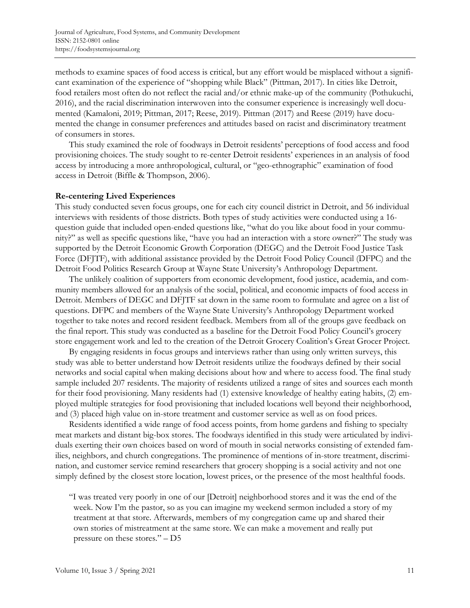methods to examine spaces of food access is critical, but any effort would be misplaced without a significant examination of the experience of "shopping while Black" (Pittman, 2017). In cities like Detroit, food retailers most often do not reflect the racial and/or ethnic make-up of the community (Pothukuchi, 2016), and the racial discrimination interwoven into the consumer experience is increasingly well documented (Kamaloni, 2019; Pittman, 2017; Reese, 2019). Pittman (2017) and Reese (2019) have documented the change in consumer preferences and attitudes based on racist and discriminatory treatment of consumers in stores.

 This study examined the role of foodways in Detroit residents' perceptions of food access and food provisioning choices. The study sought to re-center Detroit residents' experiences in an analysis of food access by introducing a more anthropological, cultural, or "geo-ethnographic" examination of food access in Detroit (Biffle & Thompson, 2006).

#### **Re-centering Lived Experiences**

This study conducted seven focus groups, one for each city council district in Detroit, and 56 individual interviews with residents of those districts. Both types of study activities were conducted using a 16 question guide that included open-ended questions like, "what do you like about food in your community?" as well as specific questions like, "have you had an interaction with a store owner?" The study was supported by the Detroit Economic Growth Corporation (DEGC) and the Detroit Food Justice Task Force (DFJTF), with additional assistance provided by the Detroit Food Policy Council (DFPC) and the Detroit Food Politics Research Group at Wayne State University's Anthropology Department.

 The unlikely coalition of supporters from economic development, food justice, academia, and community members allowed for an analysis of the social, political, and economic impacts of food access in Detroit. Members of DEGC and DFJTF sat down in the same room to formulate and agree on a list of questions. DFPC and members of the Wayne State University's Anthropology Department worked together to take notes and record resident feedback. Members from all of the groups gave feedback on the final report. This study was conducted as a baseline for the Detroit Food Policy Council's grocery store engagement work and led to the creation of the Detroit Grocery Coalition's Great Grocer Project.

 By engaging residents in focus groups and interviews rather than using only written surveys, this study was able to better understand how Detroit residents utilize the foodways defined by their social networks and social capital when making decisions about how and where to access food. The final study sample included 207 residents. The majority of residents utilized a range of sites and sources each month for their food provisioning. Many residents had (1) extensive knowledge of healthy eating habits, (2) employed multiple strategies for food provisioning that included locations well beyond their neighborhood, and (3) placed high value on in-store treatment and customer service as well as on food prices.

 Residents identified a wide range of food access points, from home gardens and fishing to specialty meat markets and distant big-box stores. The foodways identified in this study were articulated by individuals exerting their own choices based on word of mouth in social networks consisting of extended families, neighbors, and church congregations. The prominence of mentions of in-store treatment, discrimination, and customer service remind researchers that grocery shopping is a social activity and not one simply defined by the closest store location, lowest prices, or the presence of the most healthful foods.

"I was treated very poorly in one of our [Detroit] neighborhood stores and it was the end of the week. Now I'm the pastor, so as you can imagine my weekend sermon included a story of my treatment at that store. Afterwards, members of my congregation came up and shared their own stories of mistreatment at the same store. We can make a movement and really put pressure on these stores." – D5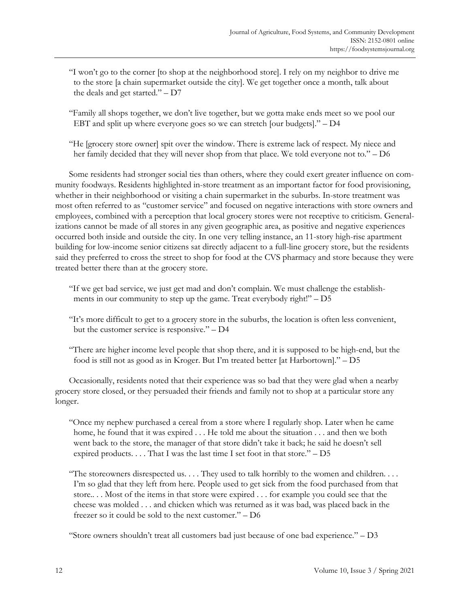- "I won't go to the corner [to shop at the neighborhood store]. I rely on my neighbor to drive me to the store [a chain supermarket outside the city]. We get together once a month, talk about the deals and get started." – D7
- "Family all shops together, we don't live together, but we gotta make ends meet so we pool our EBT and split up where everyone goes so we can stretch [our budgets]." – D4
- "He [grocery store owner] spit over the window. There is extreme lack of respect. My niece and her family decided that they will never shop from that place. We told everyone not to." – D6

 Some residents had stronger social ties than others, where they could exert greater influence on community foodways. Residents highlighted in-store treatment as an important factor for food provisioning, whether in their neighborhood or visiting a chain supermarket in the suburbs. In-store treatment was most often referred to as "customer service" and focused on negative interactions with store owners and employees, combined with a perception that local grocery stores were not receptive to criticism. Generalizations cannot be made of all stores in any given geographic area, as positive and negative experiences occurred both inside and outside the city. In one very telling instance, an 11-story high-rise apartment building for low-income senior citizens sat directly adjacent to a full-line grocery store, but the residents said they preferred to cross the street to shop for food at the CVS pharmacy and store because they were treated better there than at the grocery store.

- "If we get bad service, we just get mad and don't complain. We must challenge the establishments in our community to step up the game. Treat everybody right!" – D5
- "It's more difficult to get to a grocery store in the suburbs, the location is often less convenient, but the customer service is responsive." – D4
- "There are higher income level people that shop there, and it is supposed to be high-end, but the food is still not as good as in Kroger. But I'm treated better [at Harbortown]." – D5

 Occasionally, residents noted that their experience was so bad that they were glad when a nearby grocery store closed, or they persuaded their friends and family not to shop at a particular store any longer.

- "Once my nephew purchased a cereal from a store where I regularly shop. Later when he came home, he found that it was expired . . . He told me about the situation . . . and then we both went back to the store, the manager of that store didn't take it back; he said he doesn't sell expired products.  $\dots$  That I was the last time I set foot in that store."  $-$  D5
- "The storeowners disrespected us. . . . They used to talk horribly to the women and children. . . . I'm so glad that they left from here. People used to get sick from the food purchased from that store.. . . Most of the items in that store were expired . . . for example you could see that the cheese was molded . . . and chicken which was returned as it was bad, was placed back in the freezer so it could be sold to the next customer." – D6

"Store owners shouldn't treat all customers bad just because of one bad experience."  $-$  D3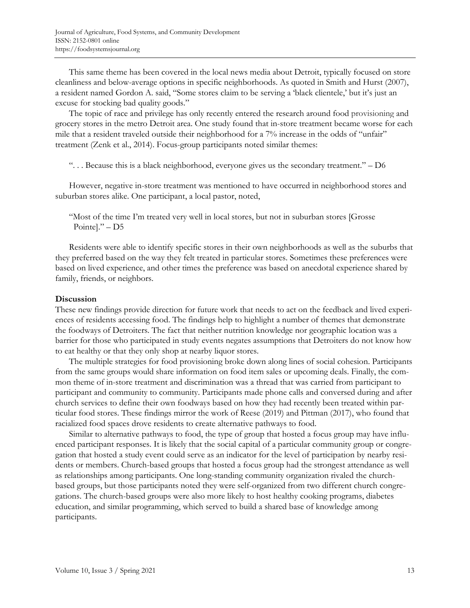This same theme has been covered in the local news media about Detroit, typically focused on store cleanliness and below-average options in specific neighborhoods. As quoted in Smith and Hurst (2007), a resident named Gordon A. said, "Some stores claim to be serving a 'black clientele,' but it's just an excuse for stocking bad quality goods."

 The topic of race and privilege has only recently entered the research around food provisioning and grocery stores in the metro Detroit area. One study found that in-store treatment became worse for each mile that a resident traveled outside their neighborhood for a 7% increase in the odds of "unfair" treatment (Zenk et al., 2014). Focus-group participants noted similar themes:

". . . Because this is a black neighborhood, everyone gives us the secondary treatment." – D6

 However, negative in-store treatment was mentioned to have occurred in neighborhood stores and suburban stores alike. One participant, a local pastor, noted,

"Most of the time I'm treated very well in local stores, but not in suburban stores [Grosse Pointe]." – D5

 Residents were able to identify specific stores in their own neighborhoods as well as the suburbs that they preferred based on the way they felt treated in particular stores. Sometimes these preferences were based on lived experience, and other times the preference was based on anecdotal experience shared by family, friends, or neighbors.

## **Discussion**

These new findings provide direction for future work that needs to act on the feedback and lived experiences of residents accessing food. The findings help to highlight a number of themes that demonstrate the foodways of Detroiters. The fact that neither nutrition knowledge nor geographic location was a barrier for those who participated in study events negates assumptions that Detroiters do not know how to eat healthy or that they only shop at nearby liquor stores.

 The multiple strategies for food provisioning broke down along lines of social cohesion. Participants from the same groups would share information on food item sales or upcoming deals. Finally, the common theme of in-store treatment and discrimination was a thread that was carried from participant to participant and community to community. Participants made phone calls and conversed during and after church services to define their own foodways based on how they had recently been treated within particular food stores. These findings mirror the work of Reese (2019) and Pittman (2017), who found that racialized food spaces drove residents to create alternative pathways to food.

 Similar to alternative pathways to food, the type of group that hosted a focus group may have influenced participant responses. It is likely that the social capital of a particular community group or congregation that hosted a study event could serve as an indicator for the level of participation by nearby residents or members. Church-based groups that hosted a focus group had the strongest attendance as well as relationships among participants. One long-standing community organization rivaled the churchbased groups, but those participants noted they were self-organized from two different church congregations. The church-based groups were also more likely to host healthy cooking programs, diabetes education, and similar programming, which served to build a shared base of knowledge among participants.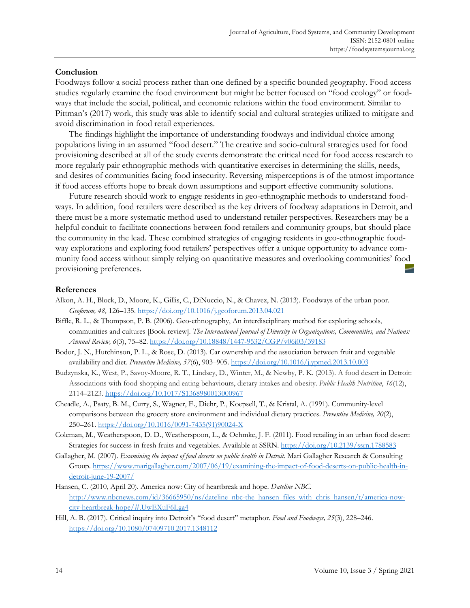## **Conclusion**

Foodways follow a social process rather than one defined by a specific bounded geography. Food access studies regularly examine the food environment but might be better focused on "food ecology" or foodways that include the social, political, and economic relations within the food environment. Similar to Pittman's (2017) work, this study was able to identify social and cultural strategies utilized to mitigate and avoid discrimination in food retail experiences.

 The findings highlight the importance of understanding foodways and individual choice among populations living in an assumed "food desert." The creative and socio-cultural strategies used for food provisioning described at all of the study events demonstrate the critical need for food access research to more regularly pair ethnographic methods with quantitative exercises in determining the skills, needs, and desires of communities facing food insecurity. Reversing misperceptions is of the utmost importance if food access efforts hope to break down assumptions and support effective community solutions.

 Future research should work to engage residents in geo-ethnographic methods to understand foodways. In addition, food retailers were described as the key drivers of foodway adaptations in Detroit, and there must be a more systematic method used to understand retailer perspectives. Researchers may be a helpful conduit to facilitate connections between food retailers and community groups, but should place the community in the lead. These combined strategies of engaging residents in geo-ethnographic foodway explorations and exploring food retailers' perspectives offer a unique opportunity to advance community food access without simply relying on quantitative measures and overlooking communities' food provisioning preferences.

#### **References**

- Alkon, A. H., Block, D., Moore, K., Gillis, C., DiNuccio, N., & Chavez, N. (2013). Foodways of the urban poor. *Geoforum, 48,* 126–135. https://doi.org/10.1016/j.geoforum.2013.04.021
- Biffle, R. L., & Thompson, P. B. (2006). Geo-ethnography, An interdisciplinary method for exploring schools, communities and cultures [Book review]. *The International Journal of Diversity in Organizations, Communities, and Nations: Annual Review, 6*(3), 75–82. https://doi.org/10.18848/1447-9532/CGP/v06i03/39183
- Bodor, J. N., Hutchinson, P. L., & Rose, D. (2013). Car ownership and the association between fruit and vegetable availability and diet. *Preventive Medicine, 57*(6), 903–905. https://doi.org/10.1016/j.ypmed.2013.10.003
- Budzynska, K., West, P., Savoy-Moore, R. T., Lindsey, D., Winter, M., & Newby, P. K. (2013). A food desert in Detroit: Associations with food shopping and eating behaviours, dietary intakes and obesity. *Public Health Nutrition*, *16*(12), 2114–2123. https://doi.org/10.1017/S1368980013000967
- Cheadle, A., Psaty, B. M., Curry, S., Wagner, E., Diehr, P., Koepsell, T., & Kristal, A. (1991). Community-level comparisons between the grocery store environment and individual dietary practices. *Preventive Medicine, 20*(2), 250–261. [https://doi.org/10.1016/0091-7435\(91\)90024-X](https://doi.org/10.1016/0091-7435(91)90024-X)
- Coleman, M., Weatherspoon, D. D., Weatherspoon, L., & Oehmke, J. F. (2011). Food retailing in an urban food desert: Strategies for success in fresh fruits and vegetables. Available at SSRN. https://doi.org/10.2139/ssrn.1788583
- Gallagher, M. (2007). *Examining the impact of food deserts on public health in Detroit.* Mari Gallagher Research & Consulting [Group. https://www.marigallagher.com/2007/06/19/examining-the-impact-of-food-deserts-on-public-health-in](https://www.marigallagher.com/2007/06/19/examining-the-impact-of-food-deserts-on-public-health-in-detroit-june-19-2007/)detroit-june-19-2007/
- Hansen, C. (2010, April 20). America now: City of heartbreak and hope. *Dateline NBC*. [http://www.nbcnews.com/id/36665950/ns/dateline\\_nbc-the\\_hansen\\_files\\_with\\_chris\\_hansen/t/america-now](http://www.nbcnews.com/id/36665950/ns/dateline_nbc-the_hansen_files_with_chris_hansen/t/america-now-city-heartbreak-hope/#.UwEXuF6Lga4)city-heartbreak-hope/#.UwEXuF6Lga4
- Hill, A. B. (2017). Critical inquiry into Detroit's "food desert" metaphor. *Food and Foodways, 25*(3), 228–246. https://doi.org/10.1080/07409710.2017.1348112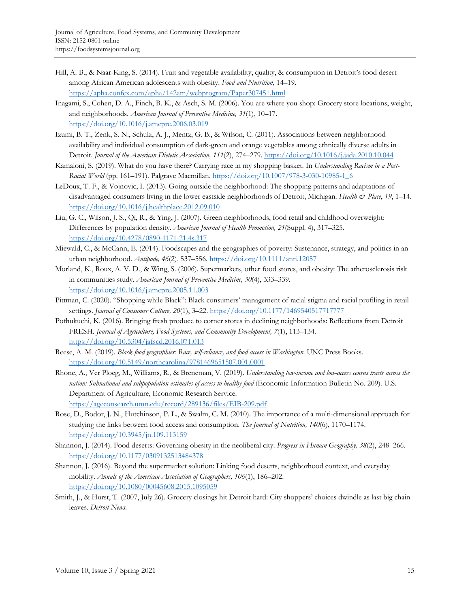- Hill, A. B., & Naar-King, S. (2014). Fruit and vegetable availability, quality, & consumption in Detroit's food desert among African American adolescents with obesity. *Food and Nutrition,* 14–19. https://apha.confex.com/apha/142am/webprogram/Paper307451.html
- Inagami, S., Cohen, D. A., Finch, B. K., & Asch, S. M. (2006). You are where you shop: Grocery store locations, weight, and neighborhoods. *American Journal of Preventive Medicine, 31*(1), 10–17. https://doi.org/10.1016/j.amepre.2006.03.019
- Izumi, B. T., Zenk, S. N., Schulz, A. J., Mentz, G. B., & Wilson, C. (2011). Associations between neighborhood availability and individual consumption of dark-green and orange vegetables among ethnically diverse adults in Detroit. *Journal of the American Dietetic Association, 111*(2), 274–279. https://doi.org/10.1016/j.jada.2010.10.044
- Kamaloni, S. (2019). What do you have there? Carrying race in my shopping basket. In *Understanding Racism in a Post-Racial World* (pp. 161–191). Palgrave Macmillan. https://doi.org/10.1007/978-3-030-10985-1\_6
- LeDoux, T. F., & Vojnovic, I. (2013). Going outside the neighborhood: The shopping patterns and adaptations of disadvantaged consumers living in the lower eastside neighborhoods of Detroit, Michigan. *Health & Place*, *19*, 1–14. https://doi.org/10.1016/j.healthplace.2012.09.010
- Liu, G. C., Wilson, J. S., Qi, R., & Ying, J. (2007). Green neighborhoods, food retail and childhood overweight: Differences by population density. *American Journal of Health Promotion, 21*(Suppl. 4), 317–325. https://doi.org/10.4278/0890-1171-21.4s.317
- Miewald, C., & McCann, E. (2014). Foodscapes and the geographies of poverty: Sustenance, strategy, and politics in an urban neighborhood. *Antipode, 46*(2), 537–556. https://doi.org/10.1111/anti.12057
- Morland, K., Roux, A. V. D., & Wing, S. (2006). Supermarkets, other food stores, and obesity: The atherosclerosis risk in communities study. *American Journal of Preventive Medicine, 30*(4), 333–339. https://doi.org/10.1016/j.amepre.2005.11.003
- Pittman, C. (2020). "Shopping while Black": Black consumers' management of racial stigma and racial profiling in retail settings. *Journal of Consumer Culture, 20*(1), 3–22. https://doi.org/10.1177/1469540517717777
- Pothukuchi, K. (2016). Bringing fresh produce to corner stores in declining neighborhoods: Reflections from Detroit FRESH. *Journal of Agriculture, Food Systems, and Community Development, 7*(1), 113–134. https://doi.org/10.5304/jafscd.2016.071.013
- Reese, A. M. (2019). *Black food geographies: Race, self-reliance, and food access in Washington*. UNC Press Books. https://doi.org/10.5149/northcarolina/9781469651507.001.0001
- Rhone, A., Ver Ploeg, M., Williams, R., & Breneman, V. (2019). *Understanding low-income and low-access census tracts across the nation: Subnational and subpopulation estimates of access to healthy food* (Economic Information Bulletin No. 209). U.S. Department of Agriculture, Economic Research Service. https://ageconsearch.umn.edu/record/289136/files/EIB-209.pdf
- Rose, D., Bodor, J. N., Hutchinson, P. L., & Swalm, C. M. (2010). The importance of a multi-dimensional approach for studying the links between food access and consumption. *The Journal of Nutrition, 140*(6), 1170–1174. https://doi.org/10.3945/jn.109.113159
- Shannon, J. (2014). Food deserts: Governing obesity in the neoliberal city. *Progress in Human Geography, 38*(2), 248–266. https://doi.org/10.1177/0309132513484378
- Shannon, J. (2016). Beyond the supermarket solution: Linking food deserts, neighborhood context, and everyday mobility. *Annals of the American Association of Geographers, 106*(1), 186–202. https://doi.org/10.1080/00045608.2015.1095059
- Smith, J., & Hurst, T. (2007, July 26). Grocery closings hit Detroit hard: City shoppers' choices dwindle as last big chain leaves. *Detroit News*.